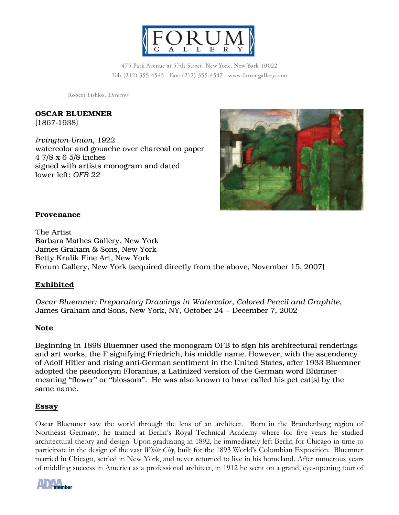

475 Park Avenue at 57th Street, New York, New York 10022 Tel: (212) 355-4545 Fax: (212) 355-4547 www.forumgallery.com

Robert Fishko, Director

### OSCAR BLUEMNER (1867-1938)

*Irvington-Union*, 1922 watercolor and gouache over charcoal on paper 4 7/8 x 6 5/8 inches signed with artists monogram and dated lower left: *OFB 22*



## Provenance

The Artist Barbara Mathes Gallery, New York James Graham & Sons, New York Betty Krulik Fine Art, New York Forum Gallery, New York (acquired directly from the above, November 15, 2007)

# Exhibited

*Oscar Bluemner: Preparatory Drawings in Watercolor, Colored Pencil and Graphite,*  James Graham and Sons, New York, NY, October 24 – December 7, 2002

## Note

Beginning in 1898 Bluemner used the monogram OFB to sign his architectural renderings and art works, the F signifying Friedrich, his middle name. However, with the ascendency of Adolf Hitler and rising anti-German sentiment in the United States, after 1933 Bluemner adopted the pseudonym Floranius, a Latinized version of the German word Blümner meaning "flower" or "blossom". He was also known to have called his pet cats by the same name.

## Essay

Oscar Bluemner saw the world through the lens of an architect. Born in the Brandenburg region of Northeast Germany, he trained at Berlin's Royal Technical Academy where for five years he studied architectural theory and design. Upon graduating in 1892, he immediately left Berlin for Chicago in time to participate in the design of the vast *White City*, built for the 1893 World's Colombian Exposition. Bluemner married in Chicago, settled in New York, and never returned to live in his homeland. After numerous years of middling success in America as a professional architect, in 1912 he went on a grand, eye-opening tour of

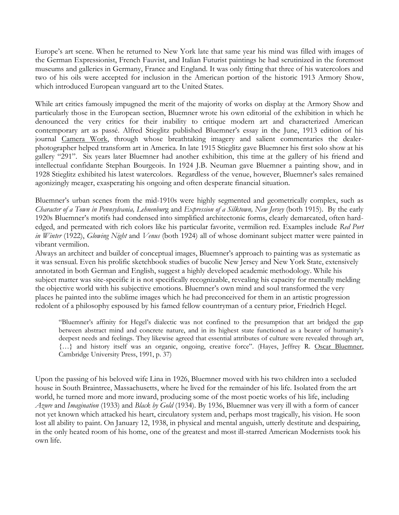Europe's art scene. When he returned to New York late that same year his mind was filled with images of the German Expressionist, French Fauvist, and Italian Futurist paintings he had scrutinized in the foremost museums and galleries in Germany, France and England. It was only fitting that three of his watercolors and two of his oils were accepted for inclusion in the American portion of the historic 1913 Armory Show, which introduced European vanguard art to the United States.

While art critics famously impugned the merit of the majority of works on display at the Armory Show and particularly those in the European section, Bluemner wrote his own editorial of the exhibition in which he denounced the very critics for their inability to critique modern art and characterized American contemporary art as passé. Alfred Stieglitz published Bluemner's essay in the June, 1913 edition of his journal Camera Work, through whose breathtaking imagery and salient commentaries the dealerphotographer helped transform art in America. In late 1915 Stieglitz gave Bluemner his first solo show at his gallery "291". Six years later Bluemner had another exhibition, this time at the gallery of his friend and intellectual confidante Stephan Bourgeois. In 1924 J.B. Neuman gave Bluemner a painting show, and in 1928 Stieglitz exhibited his latest watercolors. Regardless of the venue, however, Bluemner's sales remained agonizingly meager, exasperating his ongoing and often desperate financial situation.

Bluemner's urban scenes from the mid-1910s were highly segmented and geometrically complex, such as *Character of a Town in Pennsylvania, Lehnenbur*g and *Expression of a Silktown, New Jersey* (both 1915). By the early 1920s Bluemner's motifs had condensed into simplified architectonic forms, clearly demarcated, often hardedged, and permeated with rich colors like his particular favorite, vermilion red. Examples include *Red Port in Winter* (1922), *Glowing Night* and *Venus* (both 1924) all of whose dominant subject matter were painted in vibrant vermilion.

Always an architect and builder of conceptual images, Bluemner's approach to painting was as systematic as it was sensual. Even his prolific sketchbook studies of bucolic New Jersey and New York State, extensively annotated in both German and English, suggest a highly developed academic methodology. While his subject matter was site-specific it is not specifically recognizable, revealing his capacity for mentally melding the objective world with his subjective emotions. Bluemner's own mind and soul transformed the very places he painted into the sublime images which he had preconceived for them in an artistic progression redolent of a philosophy espoused by his famed fellow countryman of a century prior, Friedrich Hegel.

"Bluemner's affinity for Hegel's dialectic was not confined to the presumption that art bridged the gap between abstract mind and concrete nature, and in its highest state functioned as a bearer of humanity's deepest needs and feelings. They likewise agreed that essential attributes of culture were revealed through art, {…} and history itself was an organic, ongoing, creative force". (Hayes, Jeffrey R. Oscar Bluemner, Cambridge University Press, 1991, p. 37)

Upon the passing of his beloved wife Lina in 1926, Bluemner moved with his two children into a secluded house in South Braintree, Massachusetts, where he lived for the remainder of his life. Isolated from the art world, he turned more and more inward, producing some of the most poetic works of his life, including *Azure* and *Imagination* (1933) and *Black by Gold* (1934). By 1936, Bluemner was very ill with a form of cancer not yet known which attacked his heart, circulatory system and, perhaps most tragically, his vision. He soon lost all ability to paint. On January 12, 1938, in physical and mental anguish, utterly destitute and despairing, in the only heated room of his home, one of the greatest and most ill-starred American Modernists took his own life.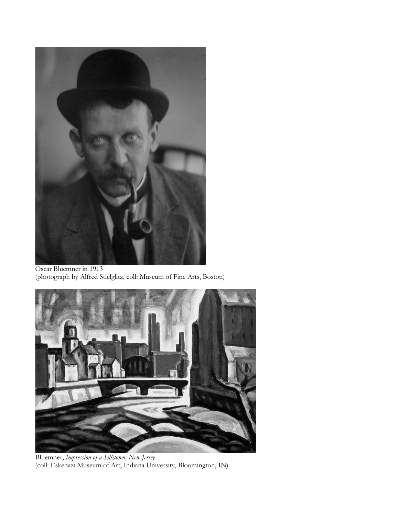

Oscar Bluemner in 1913 (photograph by Alfred Stielglitz, coll: Museum of Fine Arts, Boston)



Bluemner, *Impression of a Silktown, New Jersey* (coll: Eskenazi Museum of Art, Indiana University, Bloomington, IN)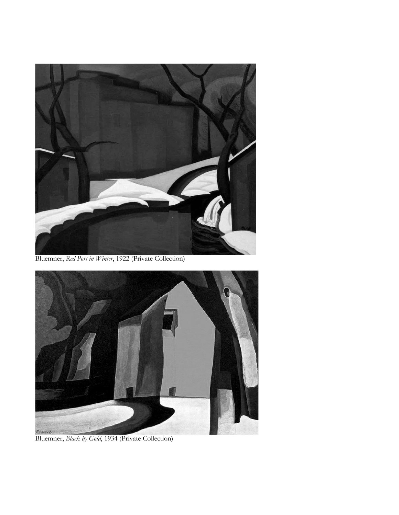

Bluemner, *Red Port in Winter*, 1922 (Private Collection)



Bluemner, *Black by Gold*, 1934 (Private Collection)